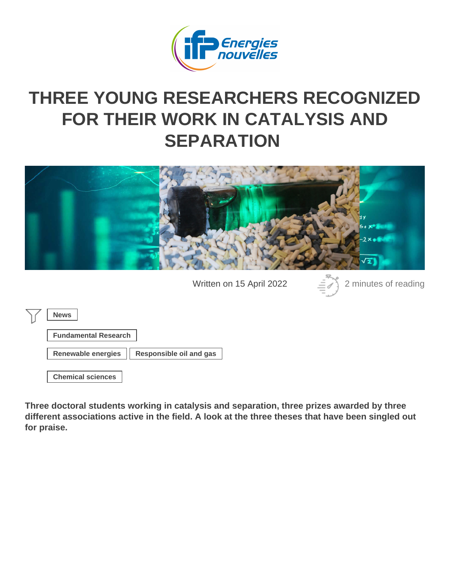## THREE YOUNG RESEARCHERS RECOGNIZED [FOR THEIR WORK IN CATALYSIS A](https://www.ifpenergiesnouvelles.com/article/three-young-researchers-recognized-their-work-catalysis-and-separation)ND **SEPARATION**

Written on 15 April 2022 2 minutes of reading

News

| <b>Fundamental Research</b> |
|-----------------------------|
|-----------------------------|

Renewable energies | Responsible oil and gas

[Chemical sciences](https://www.ifpenergiesnouvelles.com/tags/chemical-sciences)

Three doctoral students working in catalysis and separation, three prizes awarded by three different associations active in the field. A look at the three theses that have been singled out for praise.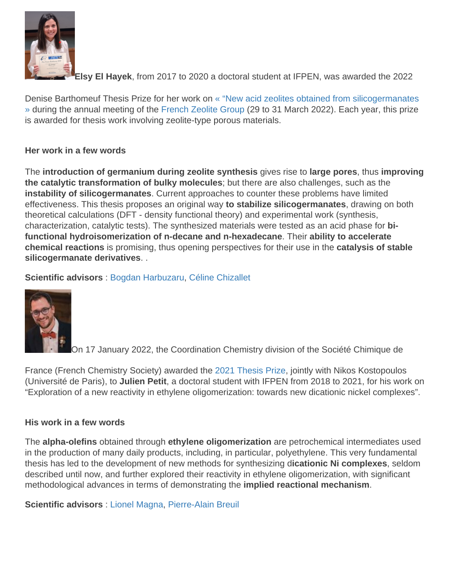Elsy El Hayek , from 2017 to 2020 a doctoral student at IFPEN, was awarded the 2022

Denise Barthomeuf Thesis Prize for her work on [« "New acid zeolites obtained from silicogermanates](https://www.ifpenergiesnouvelles.fr/breve/nouvelles-zeolithes-acides-partir-silicogermanates) [»](https://www.ifpenergiesnouvelles.fr/breve/nouvelles-zeolithes-acides-partir-silicogermanates) during the annual meeting of the [French Zeolite Group](http://gfz-online.fr/fr/) (29 to 31 March 2022). Each year, this prize is awarded for thesis work involving zeolite-type porous materials.

## Her work in a few words

The introduction of germanium during zeolite synthesis gives rise to large pores, thus improving the catalytic transformation of bulky molecules ; but there are also challenges, such as the instability of silicogermanates . Current approaches to counter these problems have limited effectiveness. This thesis proposes an original way to stabilize silicogermanates , drawing on both theoretical calculations (DFT - density functional theory) and experimental work (synthesis, characterization, catalytic tests). The synthesized materials were tested as an acid phase for bifunctional hydroisomerization of n-decane and n-hexadecane . Their ability to accelerate chemical reactions is promising, thus opening perspectives for their use in the catalysis of stable silicogermanate derivatives . .

Scientific advisors : [Bogdan Harbuzaru,](mailto:bogdan.harbuzaru@ifpen.fr) [Céline Chizallet](https://www.ifpenergiesnouvelles.com/page/celine-chizallet)

On 17 January 2022, the Coordination Chemistry division of the Société Chimique de

France (French Chemistry Society) awarded th[e](https://new.societechimiquedefrance.fr/divisions/chimie-de-coordination/prix-et-laureats-chimie-de-coordination/) [2021 Thesis Prize,](https://new.societechimiquedefrance.fr/divisions/chimie-de-coordination/prix-et-laureats-chimie-de-coordination/) jointly with Nikos Kostopoulos (Université de Paris), to Julien Petit , a doctoral student with IFPEN from 2018 to 2021, for his work on "Exploration of a new reactivity in ethylene oligomerization: towards new dicationic nickel complexes".

## His work in a few words

The alpha-olefins obtained through ethylene oligomerization are petrochemical intermediates used in the production of many daily products, including, in particular, polyethylene. This very fundamental thesis has led to the development of new methods for synthesizing dicationic Ni complexes , seldom described until now, and further explored their reactivity in ethylene oligomerization, with significant methodological advances in terms of demonstrating the implied reactional mechanism .

Scientific advisors : [Lionel Magna](mailto:lionel.magna@ifpen.fr), [Pierre-Alain Breuil](https://www.ifpenergiesnouvelles.com/page/pierre-alain-breuil)